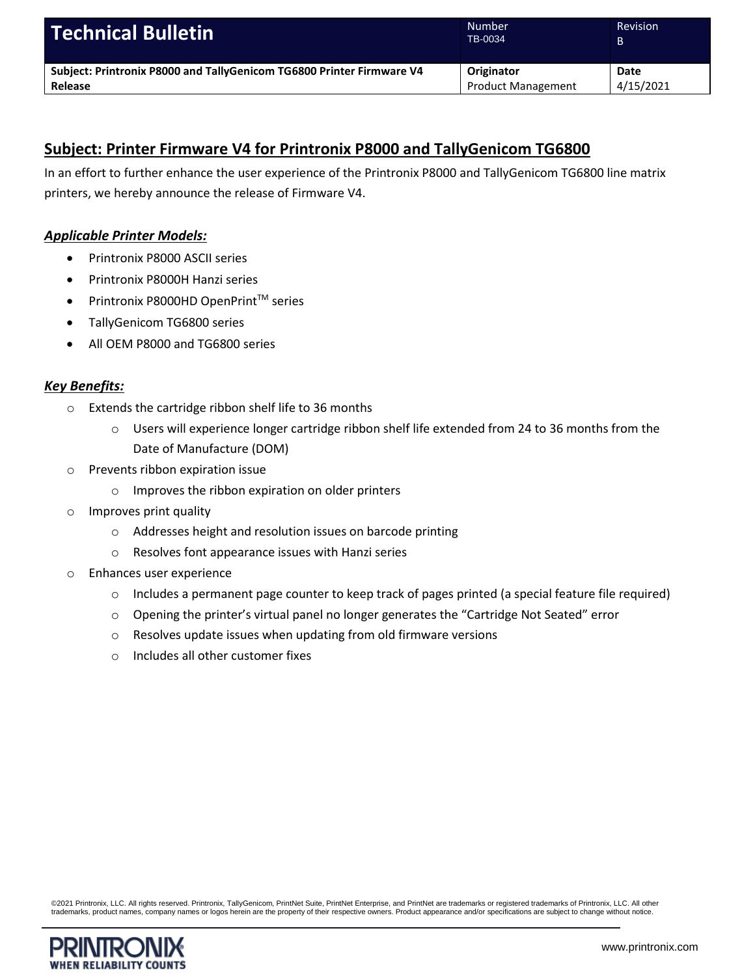| <b>Technical Bulletin</b>                                             | <b>Number</b><br>TB-0034  | <b>Revision</b><br>B |
|-----------------------------------------------------------------------|---------------------------|----------------------|
| Subject: Printronix P8000 and TallyGenicom TG6800 Printer Firmware V4 | Originator                | Date                 |
| Release                                                               | <b>Product Management</b> | 4/15/2021            |

# **Subject: Printer Firmware V4 for Printronix P8000 and TallyGenicom TG6800**

In an effort to further enhance the user experience of the Printronix P8000 and TallyGenicom TG6800 line matrix printers, we hereby announce the release of Firmware V4.

## *Applicable Printer Models:*

- Printronix P8000 ASCII series
- Printronix P8000H Hanzi series
- $\bullet$  Printronix P8000HD OpenPrint<sup>TM</sup> series
- TallyGenicom TG6800 series
- All OEM P8000 and TG6800 series

## *Key Benefits:*

- o Extends the cartridge ribbon shelf life to 36 months
	- $\circ$  Users will experience longer cartridge ribbon shelf life extended from 24 to 36 months from the Date of Manufacture (DOM)
- o Prevents ribbon expiration issue
	- o Improves the ribbon expiration on older printers
- o Improves print quality
	- o Addresses height and resolution issues on barcode printing
	- o Resolves font appearance issues with Hanzi series
- o Enhances user experience
	- $\circ$  Includes a permanent page counter to keep track of pages printed (a special feature file required)
	- o Opening the printer's virtual panel no longer generates the "Cartridge Not Seated" error
	- o Resolves update issues when updating from old firmware versions
	- o Includes all other customer fixes

©2021 Printronix, LLC. All rights reserved. Printronix, TallyGenicom, PrintNet Suite, PrintNet Enterprise, and PrintNet are trademarks or registered trademarks of Printronix, LLC. All other<br>trademarks, product names, compa

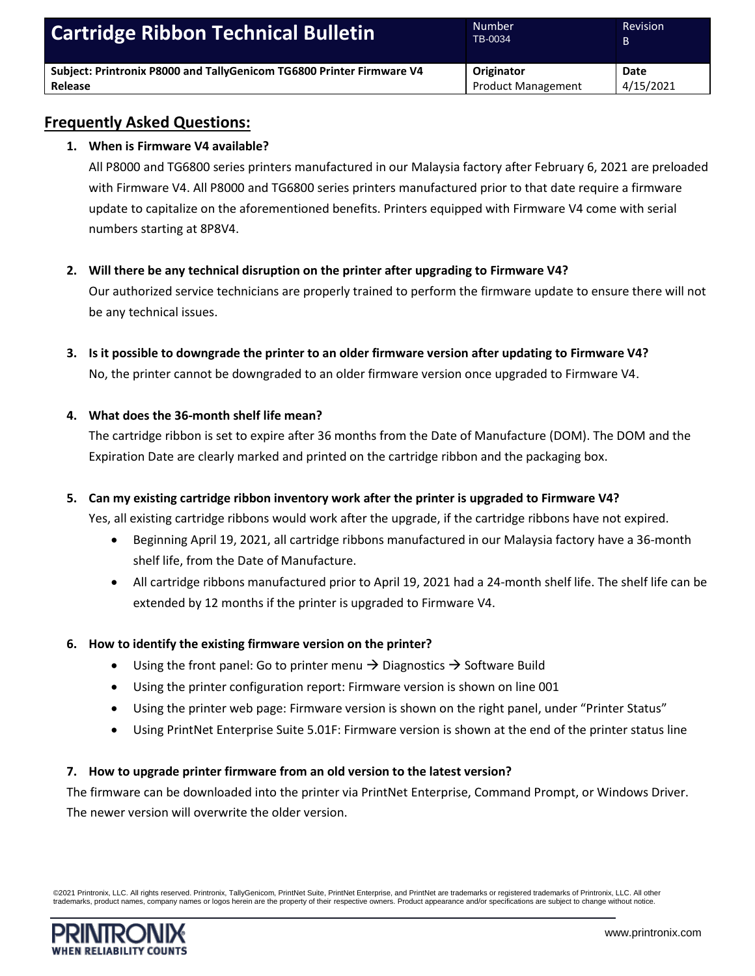| <b>Cartridge Ribbon Technical Bulletin</b>                            | <b>Number</b><br>TB-0034  | <b>Revision</b> |
|-----------------------------------------------------------------------|---------------------------|-----------------|
| Subject: Printronix P8000 and TallyGenicom TG6800 Printer Firmware V4 | Originator                | Date            |
| Release                                                               | <b>Product Management</b> | 4/15/2021       |

# **Frequently Asked Questions:**

## **1. When is Firmware V4 available?**

All P8000 and TG6800 series printers manufactured in our Malaysia factory after February 6, 2021 are preloaded with Firmware V4. All P8000 and TG6800 series printers manufactured prior to that date require a firmware update to capitalize on the aforementioned benefits. Printers equipped with Firmware V4 come with serial numbers starting at 8P8V4.

**2. Will there be any technical disruption on the printer after upgrading to Firmware V4?**

Our authorized service technicians are properly trained to perform the firmware update to ensure there will not be any technical issues.

**3. Is it possible to downgrade the printer to an older firmware version after updating to Firmware V4?** No, the printer cannot be downgraded to an older firmware version once upgraded to Firmware V4.

## **4. What does the 36-month shelf life mean?**

The cartridge ribbon is set to expire after 36 months from the Date of Manufacture (DOM). The DOM and the Expiration Date are clearly marked and printed on the cartridge ribbon and the packaging box.

## **5. Can my existing cartridge ribbon inventory work after the printer is upgraded to Firmware V4?**

Yes, all existing cartridge ribbons would work after the upgrade, if the cartridge ribbons have not expired.

- Beginning April 19, 2021, all cartridge ribbons manufactured in our Malaysia factory have a 36-month shelf life, from the Date of Manufacture.
- All cartridge ribbons manufactured prior to April 19, 2021 had a 24-month shelf life. The shelf life can be extended by 12 months if the printer is upgraded to Firmware V4.

## **6. How to identify the existing firmware version on the printer?**

- Using the front panel: Go to printer menu  $\rightarrow$  Diagnostics  $\rightarrow$  Software Build
- Using the printer configuration report: Firmware version is shown on line 001
- Using the printer web page: Firmware version is shown on the right panel, under "Printer Status"
- Using PrintNet Enterprise Suite 5.01F: Firmware version is shown at the end of the printer status line

#### **7. How to upgrade printer firmware from an old version to the latest version?**

The firmware can be downloaded into the printer via PrintNet Enterprise, Command Prompt, or Windows Driver. The newer version will overwrite the older version.

©2021 Printronix, LLC. All rights reserved. Printronix, TallyGenicom, PrintNet Suite, PrintNet Enterprise, and PrintNet are trademarks or registered trademarks of Printronix, LLC. All other trademarks, product names, company names or logos herein are the property of their respective owners. Product appearance and/or specifications are subject to change without notice.

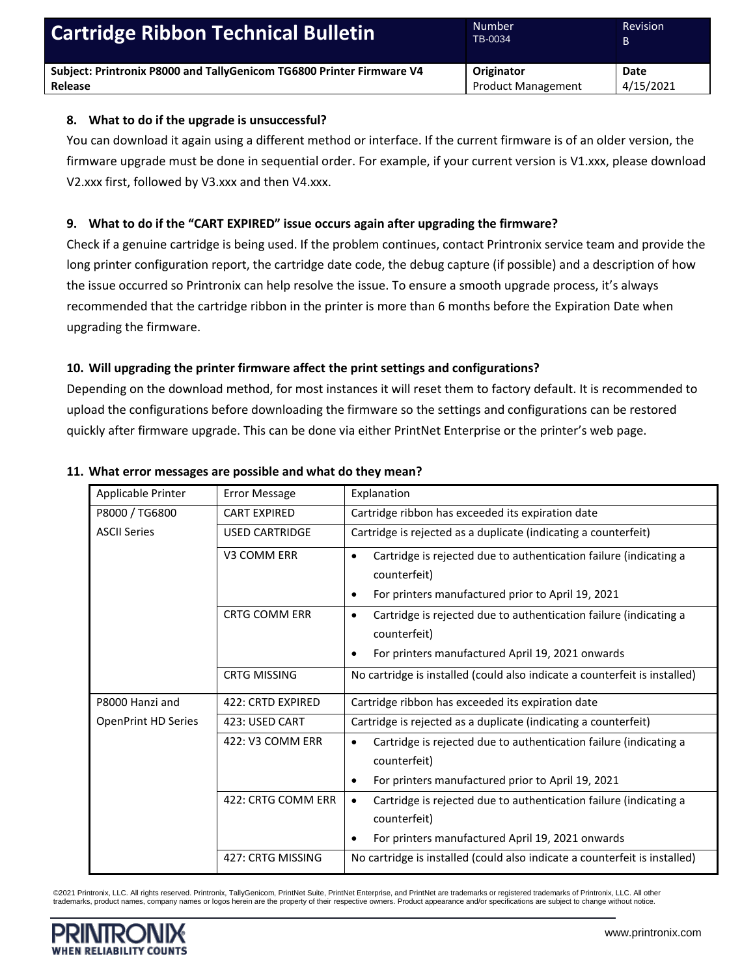| <b>Cartridge Ribbon Technical Bulletin</b>                            | Number<br>TB-0034         | <b>Revision</b> |
|-----------------------------------------------------------------------|---------------------------|-----------------|
| Subject: Printronix P8000 and TallyGenicom TG6800 Printer Firmware V4 | Originator                | Date            |
| Release                                                               | <b>Product Management</b> | 4/15/2021       |

#### **8. What to do if the upgrade is unsuccessful?**

You can download it again using a different method or interface. If the current firmware is of an older version, the firmware upgrade must be done in sequential order. For example, if your current version is V1.xxx, please download V2.xxx first, followed by V3.xxx and then V4.xxx.

## **9. What to do if the "CART EXPIRED" issue occurs again after upgrading the firmware?**

Check if a genuine cartridge is being used. If the problem continues, contact Printronix service team and provide the long printer configuration report, the cartridge date code, the debug capture (if possible) and a description of how the issue occurred so Printronix can help resolve the issue. To ensure a smooth upgrade process, it's always recommended that the cartridge ribbon in the printer is more than 6 months before the Expiration Date when upgrading the firmware.

## **10. Will upgrading the printer firmware affect the print settings and configurations?**

Depending on the download method, for most instances it will reset them to factory default. It is recommended to upload the configurations before downloading the firmware so the settings and configurations can be restored quickly after firmware upgrade. This can be done via either PrintNet Enterprise or the printer's web page.

| Applicable Printer         | <b>Error Message</b>  | Explanation                                                                                                                                              |  |
|----------------------------|-----------------------|----------------------------------------------------------------------------------------------------------------------------------------------------------|--|
| P8000 / TG6800             | <b>CART EXPIRED</b>   | Cartridge ribbon has exceeded its expiration date                                                                                                        |  |
| <b>ASCII Series</b>        | <b>USED CARTRIDGE</b> | Cartridge is rejected as a duplicate (indicating a counterfeit)                                                                                          |  |
|                            | V3 COMM ERR           | Cartridge is rejected due to authentication failure (indicating a<br>$\bullet$<br>counterfeit)                                                           |  |
|                            |                       | For printers manufactured prior to April 19, 2021<br>٠                                                                                                   |  |
|                            | <b>CRTG COMM ERR</b>  | Cartridge is rejected due to authentication failure (indicating a<br>$\bullet$<br>counterfeit)                                                           |  |
|                            |                       | For printers manufactured April 19, 2021 onwards                                                                                                         |  |
|                            | <b>CRTG MISSING</b>   | No cartridge is installed (could also indicate a counterfeit is installed)                                                                               |  |
| P8000 Hanzi and            | 422: CRTD EXPIRED     | Cartridge ribbon has exceeded its expiration date                                                                                                        |  |
| <b>OpenPrint HD Series</b> | 423: USED CART        | Cartridge is rejected as a duplicate (indicating a counterfeit)                                                                                          |  |
|                            | 422: V3 COMM ERR      | Cartridge is rejected due to authentication failure (indicating a<br>$\bullet$<br>counterfeit)<br>For printers manufactured prior to April 19, 2021<br>٠ |  |
|                            | 422: CRTG COMM ERR    | Cartridge is rejected due to authentication failure (indicating a<br>$\bullet$<br>counterfeit)<br>For printers manufactured April 19, 2021 onwards<br>٠  |  |
|                            | 427: CRTG MISSING     | No cartridge is installed (could also indicate a counterfeit is installed)                                                                               |  |

#### **11. What error messages are possible and what do they mean?**

©2021 Printronix, LLC. All rights reserved. Printronix, TallyGenicom, PrintNet Suite, PrintNet Enterprise, and PrintNet are trademarks or registered trademarks of Printronix, LLC. All other trademarks, product names, company names or logos herein are the property of their respective owners. Product appearance and/or specifications are subject to change without notice.